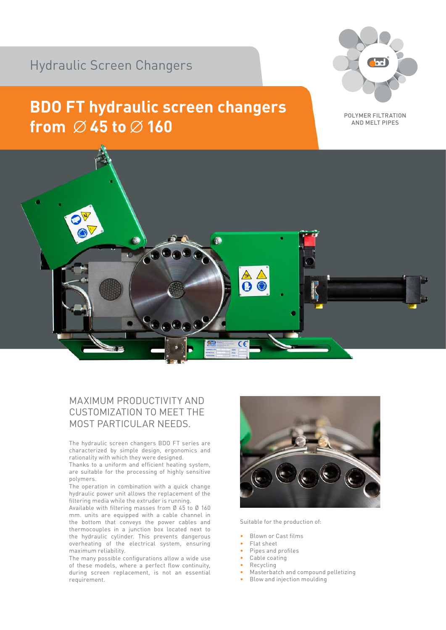## Hydraulic Screen Changers

## **BDO FT hydraulic screen changers** from  $\emptyset$  45 to  $\emptyset$  160



POLYMER FILTRATION AND MELT PIPES



## MAXIMUM PRODUCTIVITY AND CUSTOMIZATION TO MEET THE MOST PARTICULAR NEEDS.

The hydraulic screen changers BDO FT series are characterized by simple design, ergonomics and rationality with which they were designed.

Thanks to a uniform and efficient heating system, are suitable for the processing of highly sensitive polymers.

The operation in combination with a quick change hydraulic power unit allows the replacement of the filtering media while the extruder is running.

Available with filtering masses from Ø 45 to Ø 160 mm. units are equipped with a cable channel in the bottom that conveys the power cables and thermocouples in a junction box located next to the hydraulic cylinder. This prevents dangerous overheating of the electrical system, ensuring maximum reliability.

The many possible configurations allow a wide use of these models, where a perfect flow continuity, during screen replacement, is not an essential requirement.



Suitable for the production of:

- Blown or Cast films
- Flat sheet
- Pipes and profiles
- Cable coating
- Recycling
- Masterbatch and compound pelletizing
- Blow and injection moulding